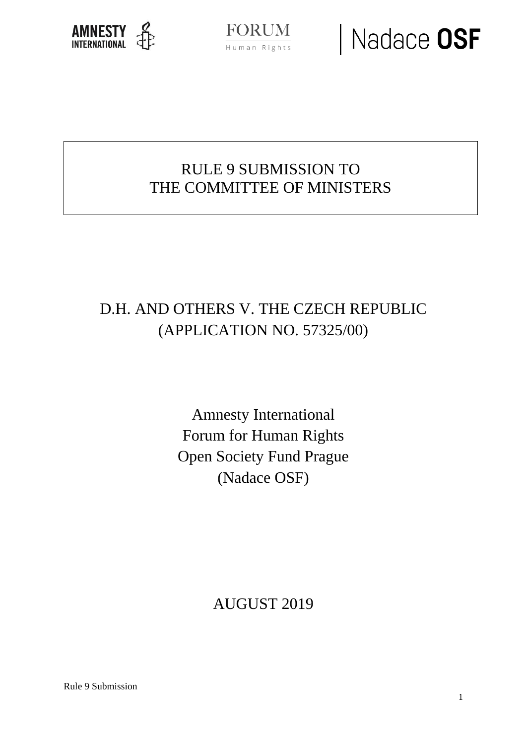

**FORUM** Human Rights

### Nadace OSF

### RULE 9 SUBMISSION TO THE COMMITTEE OF MINISTERS

### D.H. AND OTHERS V. THE CZECH REPUBLIC (APPLICATION NO. 57325/00)

Amnesty International Forum for Human Rights Open Society Fund Prague (Nadace OSF)

AUGUST 2019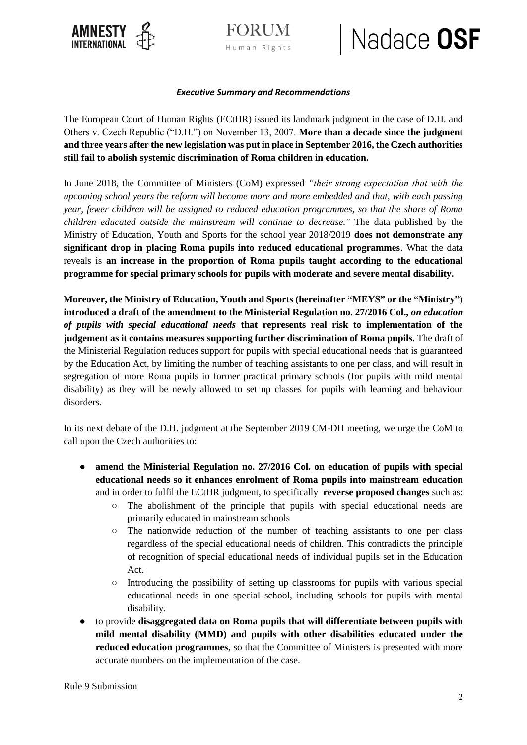



### Nadace OSF

#### *Executive Summary and Recommendations*

The European Court of Human Rights (ECtHR) issued its landmark judgment in the case of D.H. and Others v. Czech Republic ("D.H.") on November 13, 2007. **More than a decade since the judgment and three years after the new legislation was put in place in September 2016, the Czech authorities still fail to abolish systemic discrimination of Roma children in education.** 

In June 2018, the Committee of Ministers (CoM) expressed *"their strong expectation that with the upcoming school years the reform will become more and more embedded and that, with each passing year, fewer children will be assigned to reduced education programmes, so that the share of Roma children educated outside the mainstream will continue to decrease.''* The data published by the Ministry of Education, Youth and Sports for the school year 2018/2019 **does not demonstrate any significant drop in placing Roma pupils into reduced educational programmes**. What the data reveals is **an increase in the proportion of Roma pupils taught according to the educational programme for special primary schools for pupils with moderate and severe mental disability.**

**Moreover, the Ministry of Education, Youth and Sports (hereinafter "MEYS" or the "Ministry") introduced a draft of the amendment to the Ministerial Regulation no. 27/2016 Col.,** *on education of pupils with special educational needs* **that represents real risk to implementation of the judgement as it contains measures supporting further discrimination of Roma pupils.** The draft of the Ministerial Regulation reduces support for pupils with special educational needs that is guaranteed by the Education Act, by limiting the number of teaching assistants to one per class, and will result in segregation of more Roma pupils in former practical primary schools (for pupils with mild mental disability) as they will be newly allowed to set up classes for pupils with learning and behaviour disorders.

In its next debate of the D.H. judgment at the September 2019 CM-DH meeting, we urge the CoM to call upon the Czech authorities to:

- **amend the Ministerial Regulation no. 27/2016 Col. on education of pupils with special educational needs so it enhances enrolment of Roma pupils into mainstream education** and in order to fulfil the ECtHR judgment, to specifically **reverse proposed changes** such as:
	- The abolishment of the principle that pupils with special educational needs are primarily educated in mainstream schools
	- The nationwide reduction of the number of teaching assistants to one per class regardless of the special educational needs of children. This contradicts the principle of recognition of special educational needs of individual pupils set in the Education Act.
	- Introducing the possibility of setting up classrooms for pupils with various special educational needs in one special school, including schools for pupils with mental disability.
- to provide **disaggregated data on Roma pupils that will differentiate between pupils with mild mental disability (MMD) and pupils with other disabilities educated under the reduced education programmes**, so that the Committee of Ministers is presented with more accurate numbers on the implementation of the case.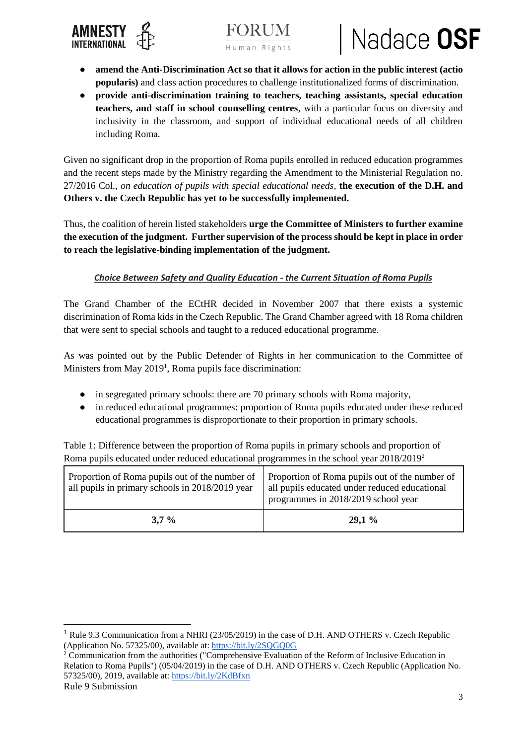



## Nadace OSF

- **amend the Anti-Discrimination Act so that it allows for action in the public interest (actio popularis)** and class action procedures to challenge institutionalized forms of discrimination.
- **provide anti-discrimination training to teachers, teaching assistants, special education teachers, and staff in school counselling centres**, with a particular focus on diversity and inclusivity in the classroom, and support of individual educational needs of all children including Roma.

Given no significant drop in the proportion of Roma pupils enrolled in reduced education programmes and the recent steps made by the Ministry regarding the Amendment to the Ministerial Regulation no. 27/2016 Col., *on education of pupils with special educational needs*, **the execution of the D.H. and Others v. the Czech Republic has yet to be successfully implemented.** 

Thus, the coalition of herein listed stakeholders **urge the Committee of Ministers to further examine the execution of the judgment. Further supervision of the process should be kept in place in order to reach the legislative-binding implementation of the judgment.** 

#### *Choice Between Safety and Quality Education - the Current Situation of Roma Pupils*

The Grand Chamber of the ECtHR decided in November 2007 that there exists a systemic discrimination of Roma kids in the Czech Republic. The Grand Chamber agreed with 18 Roma children that were sent to special schools and taught to a reduced educational programme.

As was pointed out by the Public Defender of Rights in her communication to the Committee of Ministers from May 2019<sup>1</sup>, Roma pupils face discrimination:

- in segregated primary schools: there are 70 primary schools with Roma majority,
- in reduced educational programmes: proportion of Roma pupils educated under these reduced educational programmes is disproportionate to their proportion in primary schools.

Table 1: Difference between the proportion of Roma pupils in primary schools and proportion of Roma pupils educated under reduced educational programmes in the school year 2018/2019<sup>2</sup>

| Proportion of Roma pupils out of the number of<br>all pupils in primary schools in 2018/2019 year | Proportion of Roma pupils out of the number of<br>all pupils educated under reduced educational<br>programmes in 2018/2019 school year |
|---------------------------------------------------------------------------------------------------|----------------------------------------------------------------------------------------------------------------------------------------|
| $3.7\%$                                                                                           | $29.1\%$                                                                                                                               |

-

<sup>1</sup> Rule 9.3 Communication from a NHRI (23/05/2019) in the case of D.H. AND OTHERS v. Czech Republic (Application No. 57325/00), available at:<https://bit.ly/2SQGQ0G>

<sup>2</sup> Communication from the authorities ("Comprehensive Evaluation of the Reform of Inclusive Education in Relation to Roma Pupils") (05/04/2019) in the case of D.H. AND OTHERS v. Czech Republic (Application No. 57325/00), 2019, available at:<https://bit.ly/2KdBfxn>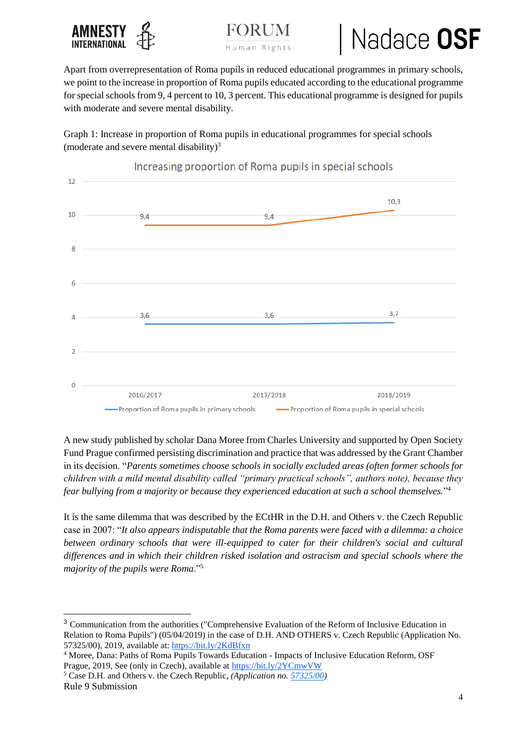





Apart from overrepresentation of Roma pupils in reduced educational programmes in primary schools, we point to the increase in proportion of Roma pupils educated according to the educational programme for special schools from 9, 4 percent to 10, 3 percent. This educational programme is designed for pupils with moderate and severe mental disability.

Graph 1: Increase in proportion of Roma pupils in educational programmes for special schools (moderate and severe mental disability) $3$ 



Increasing proportion of Roma pupils in special schools

A new study published by scholar Dana Moree from Charles University and supported by Open Society Fund Prague confirmed persisting discrimination and practice that was addressed by the Grant Chamber in its decision. "*Parents sometimes choose schools in socially excluded areas (often former schools for children with a mild mental disability called "primary practical schools", authors note), because they fear bullying from a majority or because they experienced education at such a school themselves.*" 4

It is the same dilemma that was described by the ECtHR in the D.H. and Others v. the Czech Republic case in 2007: "*It also appears indisputable that the Roma parents were faced with a dilemma: a choice between ordinary schools that were ill-equipped to cater for their children's social and cultural differences and in which their children risked isolation and ostracism and special schools where the majority of the pupils were Roma*."<sup>5</sup>

<sup>5</sup> Case D.H. and Others v. the Czech Republic, *(Application no[. 57325/00\)](https://hudoc.echr.coe.int/eng#%7B%22appno%22:%5B%2257325/00%22%5D%7D)*

-

<sup>3</sup> Communication from the authorities ("Comprehensive Evaluation of the Reform of Inclusive Education in Relation to Roma Pupils") (05/04/2019) in the case of D.H. AND OTHERS v. Czech Republic (Application No. 57325/00), 2019, available at:<https://bit.ly/2KdBfxn>

<sup>4</sup> Moree, Dana: Paths of Roma Pupils Towards Education - Impacts of Inclusive Education Reform, OSF Prague, 2019, See (only in Czech), available at<https://bit.ly/2YCmwVW>

Rule 9 Submission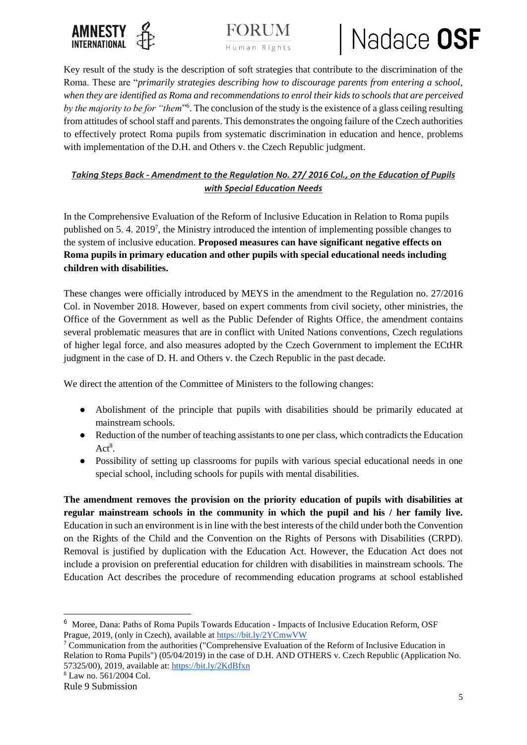



### Nadace OSF

Key result of the study is the description of soft strategies that contribute to the discrimination of the Roma. These are "*primarily strategies describing how to discourage parents from entering a school, when they are identified as Roma and recommendations to enrol their kids to schools that are perceived*  by the majority to be for "them"<sup>6</sup>. The conclusion of the study is the existence of a glass ceiling resulting from attitudes of school staff and parents. This demonstrates the ongoing failure of the Czech authorities to effectively protect Roma pupils from systematic discrimination in education and hence, problems with implementation of the D.H. and Others v. the Czech Republic judgment.

#### *Taking Steps Back - Amendment to the Regulation No. 27/ 2016 Col., on the Education of Pupils with Special Education Needs*

In the Comprehensive Evaluation of the Reform of Inclusive Education in Relation to Roma pupils published on 5.4. 2019<sup>7</sup>, the Ministry introduced the intention of implementing possible changes to the system of inclusive education. **Proposed measures can have significant negative effects on Roma pupils in primary education and other pupils with special educational needs including children with disabilities.** 

These changes were officially introduced by MEYS in the amendment to the Regulation no. 27/2016 Col. in November 2018. However, based on expert comments from civil society, other ministries, the Office of the Government as well as the Public Defender of Rights Office, the amendment contains several problematic measures that are in conflict with United Nations conventions, Czech regulations of higher legal force, and also measures adopted by the Czech Government to implement the ECtHR judgment in the case of D. H. and Others v. the Czech Republic in the past decade.

We direct the attention of the Committee of Ministers to the following changes:

- Abolishment of the principle that pupils with disabilities should be primarily educated at mainstream schools.
- Reduction of the number of teaching assistants to one per class, which contradicts the Education  $Act<sup>8</sup>$ .
- Possibility of setting up classrooms for pupils with various special educational needs in one special school, including schools for pupils with mental disabilities.

**The amendment removes the provision on the priority education of pupils with disabilities at regular mainstream schools in the community in which the pupil and his / her family live.**  Education in such an environment is in line with the best interests of the child under both the Convention on the Rights of the Child and the Convention on the Rights of Persons with Disabilities (CRPD). Removal is justified by duplication with the Education Act. However, the Education Act does not include a provision on preferential education for children with disabilities in mainstream schools. The Education Act describes the procedure of recommending education programs at school established

-

<sup>&</sup>lt;sup>6</sup> Moree, Dana: Paths of Roma Pupils Towards Education - Impacts of Inclusive Education Reform, OSF Prague, 2019, (only in Czech), available at<https://bit.ly/2YCmwVW>

<sup>7</sup> Communication from the authorities ("Comprehensive Evaluation of the Reform of Inclusive Education in Relation to Roma Pupils") (05/04/2019) in the case of D.H. AND OTHERS v. Czech Republic (Application No. 57325/00), 2019, available at:<https://bit.ly/2KdBfxn>

<sup>8</sup> Law no. 561/2004 Col.

Rule 9 Submission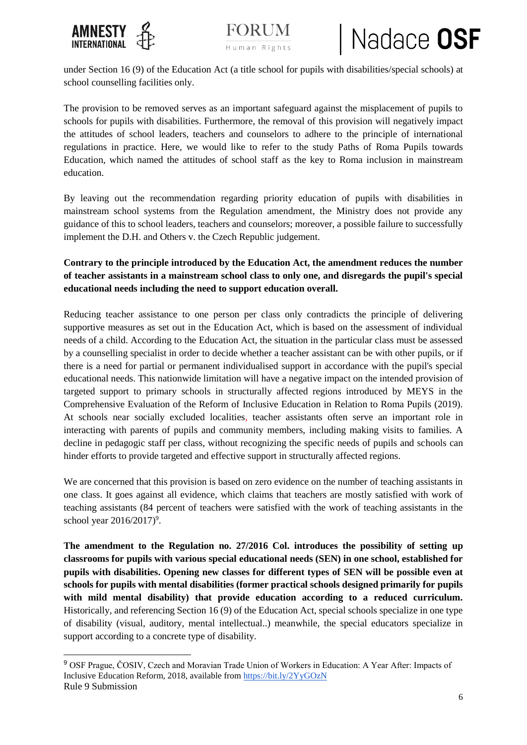

-





under Section 16 (9) of the Education Act (a title school for pupils with disabilities/special schools) at school counselling facilities only.

The provision to be removed serves as an important safeguard against the misplacement of pupils to schools for pupils with disabilities. Furthermore, the removal of this provision will negatively impact the attitudes of school leaders, teachers and counselors to adhere to the principle of international regulations in practice. Here, we would like to refer to the study Paths of Roma Pupils towards Education, which named the attitudes of school staff as the key to Roma inclusion in mainstream education.

By leaving out the recommendation regarding priority education of pupils with disabilities in mainstream school systems from the Regulation amendment, the Ministry does not provide any guidance of this to school leaders, teachers and counselors; moreover, a possible failure to successfully implement the D.H. and Others v. the Czech Republic judgement.

#### **Contrary to the principle introduced by the Education Act, the amendment reduces the number of teacher assistants in a mainstream school class to only one, and disregards the pupil's special educational needs including the need to support education overall.**

Reducing teacher assistance to one person per class only contradicts the principle of delivering supportive measures as set out in the Education Act, which is based on the assessment of individual needs of a child. According to the Education Act, the situation in the particular class must be assessed by a counselling specialist in order to decide whether a teacher assistant can be with other pupils, or if there is a need for partial or permanent individualised support in accordance with the pupil's special educational needs. This nationwide limitation will have a negative impact on the intended provision of targeted support to primary schools in structurally affected regions introduced by MEYS in the Comprehensive Evaluation of the Reform of Inclusive Education in Relation to Roma Pupils (2019). At schools near socially excluded localities, teacher assistants often serve an important role in interacting with parents of pupils and community members, including making visits to families. A decline in pedagogic staff per class, without recognizing the specific needs of pupils and schools can hinder efforts to provide targeted and effective support in structurally affected regions.

We are concerned that this provision is based on zero evidence on the number of teaching assistants in one class. It goes against all evidence, which claims that teachers are mostly satisfied with work of teaching assistants (84 percent of teachers were satisfied with the work of teaching assistants in the school year  $2016/2017$ <sup>9</sup>.

**The amendment to the Regulation no. 27/2016 Col. introduces the possibility of setting up classrooms for pupils with various special educational needs (SEN) in one school, established for pupils with disabilities. Opening new classes for different types of SEN will be possible even at schools for pupils with mental disabilities (former practical schools designed primarily for pupils with mild mental disability) that provide education according to a reduced curriculum.**  Historically, and referencing Section 16 (9) of the Education Act, special schools specialize in one type of disability (visual, auditory, mental intellectual..) meanwhile, the special educators specialize in support according to a concrete type of disability.

Rule 9 Submission <sup>9</sup> OSF Prague, ČOSIV, Czech and Moravian Trade Union of Workers in Education: A Year After: Impacts of Inclusive Education Reform, 2018, available from<https://bit.ly/2YyGOzN>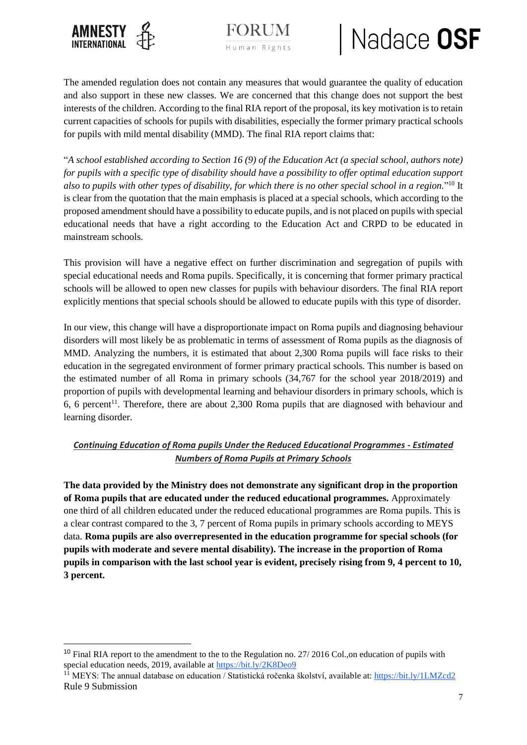

-



# Nadace OSF

The amended regulation does not contain any measures that would guarantee the quality of education and also support in these new classes. We are concerned that this change does not support the best interests of the children. According to the final RIA report of the proposal, its key motivation is to retain current capacities of schools for pupils with disabilities, especially the former primary practical schools for pupils with mild mental disability (MMD). The final RIA report claims that:

"*A school established according to Section 16 (9) of the Education Act (a special school, authors note) for pupils with a specific type of disability should have a possibility to offer optimal education support also to pupils with other types of disability, for which there is no other special school in a region.*" <sup>10</sup> It is clear from the quotation that the main emphasis is placed at a special schools, which according to the proposed amendment should have a possibility to educate pupils, and is not placed on pupils with special educational needs that have a right according to the Education Act and CRPD to be educated in mainstream schools.

This provision will have a negative effect on further discrimination and segregation of pupils with special educational needs and Roma pupils. Specifically, it is concerning that former primary practical schools will be allowed to open new classes for pupils with behaviour disorders. The final RIA report explicitly mentions that special schools should be allowed to educate pupils with this type of disorder.

In our view, this change will have a disproportionate impact on Roma pupils and diagnosing behaviour disorders will most likely be as problematic in terms of assessment of Roma pupils as the diagnosis of MMD. Analyzing the numbers, it is estimated that about 2,300 Roma pupils will face risks to their education in the segregated environment of former primary practical schools. This number is based on the estimated number of all Roma in primary schools (34,767 for the school year 2018/2019) and proportion of pupils with developmental learning and behaviour disorders in primary schools, which is 6, 6 percent<sup>11</sup>. Therefore, there are about 2,300 Roma pupils that are diagnosed with behaviour and learning disorder.

#### *Continuing Education of Roma pupils Under the Reduced Educational Programmes - Estimated Numbers of Roma Pupils at Primary Schools*

**The data provided by the Ministry does not demonstrate any significant drop in the proportion of Roma pupils that are educated under the reduced educational programmes.** Approximately one third of all children educated under the reduced educational programmes are Roma pupils. This is a clear contrast compared to the 3, 7 percent of Roma pupils in primary schools according to MEYS data. **Roma pupils are also overrepresented in the education programme for special schools (for pupils with moderate and severe mental disability). The increase in the proportion of Roma pupils in comparison with the last school year is evident, precisely rising from 9, 4 percent to 10, 3 percent.** 

<sup>&</sup>lt;sup>10</sup> Final RIA report to the amendment to the to the Regulation no. 27/2016 Col., on education of pupils with special education needs, 2019, available a[t https://bit.ly/2K8Deo9](https://bit.ly/2K8Deo9)

Rule 9 Submission <sup>11</sup> MEYS: The annual database on education / Statistická ročenka školství, available at:<https://bit.ly/1LMZcd2>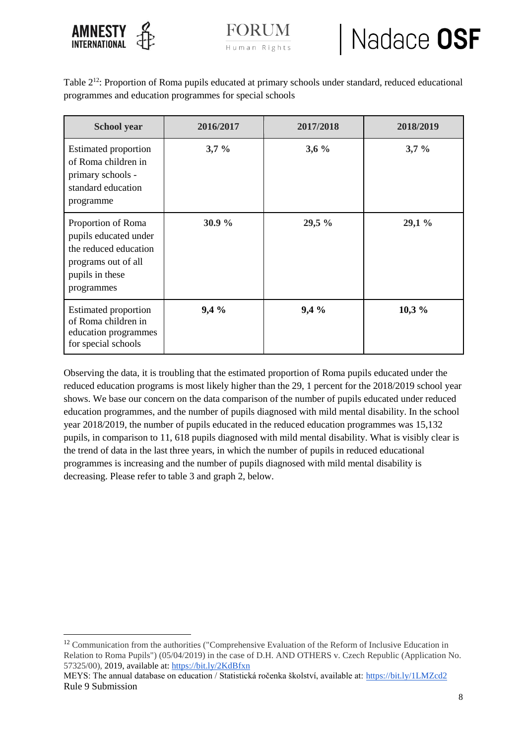

-



Table 2<sup>12</sup>: Proportion of Roma pupils educated at primary schools under standard, reduced educational programmes and education programmes for special schools

| <b>School</b> year                                                                                                           | 2016/2017 | 2017/2018 | 2018/2019 |
|------------------------------------------------------------------------------------------------------------------------------|-----------|-----------|-----------|
| <b>Estimated proportion</b><br>of Roma children in<br>primary schools -<br>standard education<br>programme                   | $3,7\%$   | $3,6\%$   | $3,7\%$   |
| Proportion of Roma<br>pupils educated under<br>the reduced education<br>programs out of all<br>pupils in these<br>programmes | 30.9%     | 29,5 %    | 29,1 %    |
| <b>Estimated proportion</b><br>of Roma children in<br>education programmes<br>for special schools                            | 9,4%      | 9,4%      | 10,3%     |

Observing the data, it is troubling that the estimated proportion of Roma pupils educated under the reduced education programs is most likely higher than the 29, 1 percent for the 2018/2019 school year shows. We base our concern on the data comparison of the number of pupils educated under reduced education programmes, and the number of pupils diagnosed with mild mental disability. In the school year 2018/2019, the number of pupils educated in the reduced education programmes was 15,132 pupils, in comparison to 11, 618 pupils diagnosed with mild mental disability. What is visibly clear is the trend of data in the last three years, in which the number of pupils in reduced educational programmes is increasing and the number of pupils diagnosed with mild mental disability is decreasing. Please refer to table 3 and graph 2, below.

<sup>&</sup>lt;sup>12</sup> Communication from the authorities ("Comprehensive Evaluation of the Reform of Inclusive Education in Relation to Roma Pupils") (05/04/2019) in the case of D.H. AND OTHERS v. Czech Republic (Application No. 57325/00), 2019, available at:<https://bit.ly/2KdBfxn>

Rule 9 Submission MEYS: The annual database on education / Statistická ročenka školství, available at:<https://bit.ly/1LMZcd2>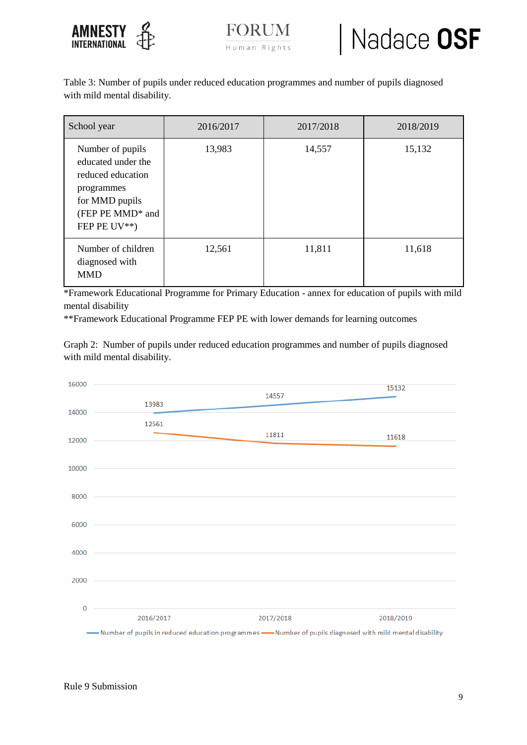



Table 3: Number of pupils under reduced education programmes and number of pupils diagnosed with mild mental disability.

| School year                                                                                                                                       | 2016/2017 | 2017/2018 | 2018/2019 |
|---------------------------------------------------------------------------------------------------------------------------------------------------|-----------|-----------|-----------|
| Number of pupils<br>educated under the<br>reduced education<br>programmes<br>for MMD pupils<br>(FEP PE MMD <sup>*</sup> and<br>FEP PE $UV^{**}$ ) | 13,983    | 14,557    | 15,132    |
| Number of children<br>diagnosed with<br><b>MMD</b>                                                                                                | 12,561    | 11,811    | 11,618    |

\*Framework Educational Programme for Primary Education - annex for education of pupils with mild mental disability

\*\*Framework Educational Programme FEP PE with lower demands for learning outcomes

Graph 2: Number of pupils under reduced education programmes and number of pupils diagnosed with mild mental disability.

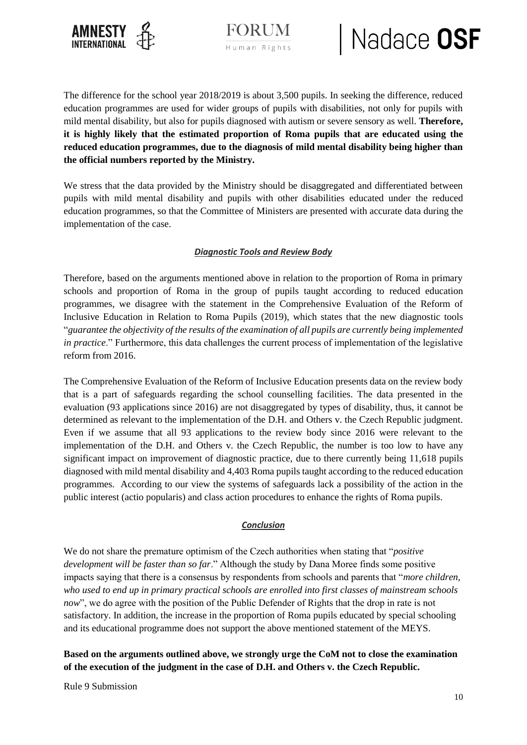

Human Rights

# Nadace OSF

The difference for the school year 2018/2019 is about 3,500 pupils. In seeking the difference, reduced education programmes are used for wider groups of pupils with disabilities, not only for pupils with mild mental disability, but also for pupils diagnosed with autism or severe sensory as well. **Therefore, it is highly likely that the estimated proportion of Roma pupils that are educated using the reduced education programmes, due to the diagnosis of mild mental disability being higher than the official numbers reported by the Ministry.** 

We stress that the data provided by the Ministry should be disaggregated and differentiated between pupils with mild mental disability and pupils with other disabilities educated under the reduced education programmes, so that the Committee of Ministers are presented with accurate data during the implementation of the case.

#### *Diagnostic Tools and Review Body*

Therefore, based on the arguments mentioned above in relation to the proportion of Roma in primary schools and proportion of Roma in the group of pupils taught according to reduced education programmes, we disagree with the statement in the Comprehensive Evaluation of the Reform of Inclusive Education in Relation to Roma Pupils (2019), which states that the new diagnostic tools "*guarantee the objectivity of the results of the examination of all pupils are currently being implemented in practice*." Furthermore, this data challenges the current process of implementation of the legislative reform from 2016.

The Comprehensive Evaluation of the Reform of Inclusive Education presents data on the review body that is a part of safeguards regarding the school counselling facilities. The data presented in the evaluation (93 applications since 2016) are not disaggregated by types of disability, thus, it cannot be determined as relevant to the implementation of the D.H. and Others v. the Czech Republic judgment. Even if we assume that all 93 applications to the review body since 2016 were relevant to the implementation of the D.H. and Others v. the Czech Republic, the number is too low to have any significant impact on improvement of diagnostic practice, due to there currently being 11,618 pupils diagnosed with mild mental disability and 4,403 Roma pupils taught according to the reduced education programmes. According to our view the systems of safeguards lack a possibility of the action in the public interest (actio popularis) and class action procedures to enhance the rights of Roma pupils.

#### *Conclusion*

We do not share the premature optimism of the Czech authorities when stating that "*positive development will be faster than so far*." Although the study by Dana Moree finds some positive impacts saying that there is a consensus by respondents from schools and parents that "*more children, who used to end up in primary practical schools are enrolled into first classes of mainstream schools now*", we do agree with the position of the Public Defender of Rights that the drop in rate is not satisfactory. In addition, the increase in the proportion of Roma pupils educated by special schooling and its educational programme does not support the above mentioned statement of the MEYS.

**Based on the arguments outlined above, we strongly urge the CoM not to close the examination of the execution of the judgment in the case of D.H. and Others v. the Czech Republic.** 

Rule 9 Submission